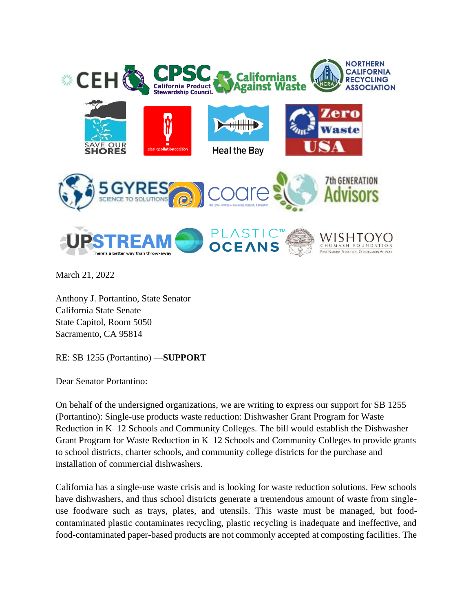

March 21, 2022

Anthony J. Portantino, State Senator California State Senate State Capitol, Room 5050 Sacramento, CA 95814

RE: SB 1255 (Portantino) —**SUPPORT**

Dear Senator Portantino:

On behalf of the undersigned organizations, we are writing to express our support for SB 1255 (Portantino): Single-use products waste reduction: Dishwasher Grant Program for Waste Reduction in K–12 Schools and Community Colleges. The bill would establish the Dishwasher Grant Program for Waste Reduction in K–12 Schools and Community Colleges to provide grants to school districts, charter schools, and community college districts for the purchase and installation of commercial dishwashers.

California has a single-use waste crisis and is looking for waste reduction solutions. Few schools have dishwashers, and thus school districts generate a tremendous amount of waste from singleuse foodware such as trays, plates, and utensils. This waste must be managed, but foodcontaminated plastic contaminates recycling, plastic recycling is inadequate and ineffective, and food-contaminated paper-based products are not commonly accepted at composting facilities. The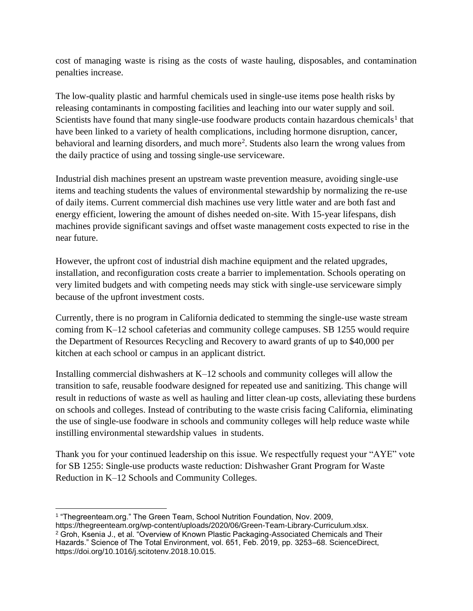cost of managing waste is rising as the costs of waste hauling, disposables, and contamination penalties increase.

The low-quality plastic and harmful chemicals used in single-use items pose health risks by releasing contaminants in composting facilities and leaching into our water supply and soil. Scientists have found that many single-use foodware products contain hazardous chemicals<sup>1</sup> that have been linked to a variety of health complications, including hormone disruption, cancer, behavioral and learning disorders, and much more<sup>2</sup>. Students also learn the wrong values from the daily practice of using and tossing single-use serviceware.

Industrial dish machines present an upstream waste prevention measure, avoiding single-use items and teaching students the values of environmental stewardship by normalizing the re-use of daily items. Current commercial dish machines use very little water and are both fast and energy efficient, lowering the amount of dishes needed on-site. With 15-year lifespans, dish machines provide significant savings and offset waste management costs expected to rise in the near future.

However, the upfront cost of industrial dish machine equipment and the related upgrades, installation, and reconfiguration costs create a barrier to implementation. Schools operating on very limited budgets and with competing needs may stick with single-use serviceware simply because of the upfront investment costs.

Currently, there is no program in California dedicated to stemming the single-use waste stream coming from K–12 school cafeterias and community college campuses. SB 1255 would require the Department of Resources Recycling and Recovery to award grants of up to \$40,000 per kitchen at each school or campus in an applicant district.

Installing commercial dishwashers at K–12 schools and community colleges will allow the transition to safe, reusable foodware designed for repeated use and sanitizing. This change will result in reductions of waste as well as hauling and litter clean-up costs, alleviating these burdens on schools and colleges. Instead of contributing to the waste crisis facing California, eliminating the use of single-use foodware in schools and community colleges will help reduce waste while instilling environmental stewardship values in students.

Thank you for your continued leadership on this issue. We respectfully request your "AYE" vote for SB 1255: Single-use products waste reduction: Dishwasher Grant Program for Waste Reduction in K–12 Schools and Community Colleges.

<sup>1</sup> "Thegreenteam.org." The Green Team, School Nutrition Foundation, Nov. 2009,

https://thegreenteam.org/wp-content/uploads/2020/06/Green-Team-Library-Curriculum.xlsx. <sup>2</sup> Groh, Ksenia J., et al. "Overview of Known Plastic Packaging-Associated Chemicals and Their Hazards." Science of The Total Environment, vol. 651, Feb. 2019, pp. 3253–68. ScienceDirect, https://doi.org/10.1016/j.scitotenv.2018.10.015.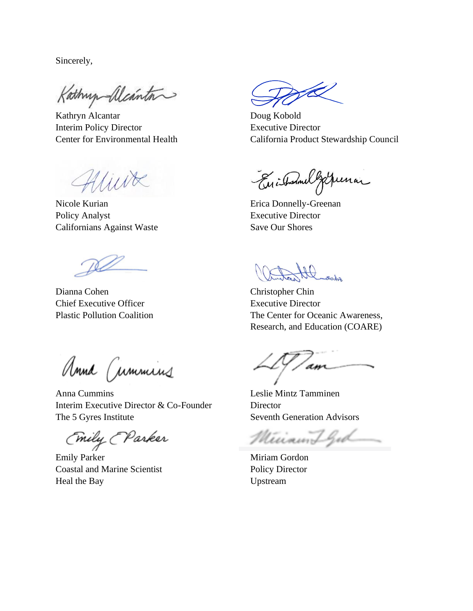Sincerely,

Kathry Meinton

Kathryn Alcantar Doug Kobold Interim Policy Director Executive Director

Aliure

Nicole Kurian **Existence Existence** Erica Donnelly-Greenan Policy Analyst Executive Director Californians Against Waste Save Our Shores

Dianna Cohen Christopher Chin Chief Executive Officer Executive Director

Center for Environmental Health California Product Stewardship Council

Enisternal german

Hl room

Plastic Pollution Coalition The Center for Oceanic Awareness, Research, and Education (COARE)

Anna Cummins

Anna Cummins Leslie Mintz Tamminen Interim Executive Director & Co-Founder Director The 5 Gyres Institute Seventh Generation Advisors

(mily (Parker

Emily Parker Miriam Gordon Coastal and Marine Scientist Policy Director Heal the Bay Upstream

am

Minamilgod